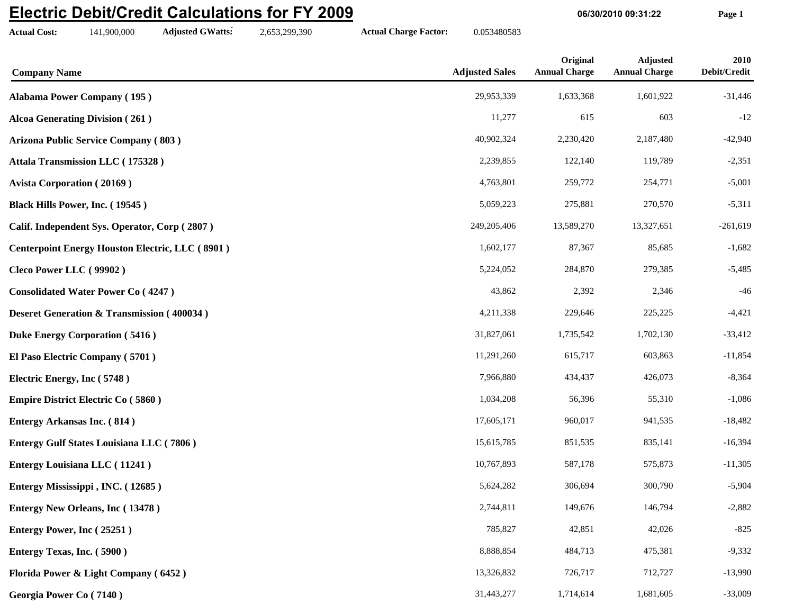## **Electric Debit/Credit Calculations for FY 2009**

**Actual Cost:** 141,900,000 **Adjusted GWatts:** 2,653,299,390 **Actual Charge Factor:** 0.053480583

**06/30/2010 09:31:22 Page 1**

| <b>Company Name</b>                                    | <b>Adjusted Sales</b> | Original<br><b>Annual Charge</b> | <b>Adjusted</b><br><b>Annual Charge</b> | 2010<br>Debit/Credit |
|--------------------------------------------------------|-----------------------|----------------------------------|-----------------------------------------|----------------------|
| <b>Alabama Power Company (195)</b>                     | 29,953,339            | 1,633,368                        | 1,601,922                               | $-31,446$            |
| <b>Alcoa Generating Division (261)</b>                 | 11,277                | 615                              | 603                                     | $-12$                |
| <b>Arizona Public Service Company (803)</b>            | 40,902,324            | 2,230,420                        | 2,187,480                               | $-42,940$            |
| Attala Transmission LLC (175328)                       | 2,239,855             | 122,140                          | 119,789                                 | $-2,351$             |
| <b>Avista Corporation (20169)</b>                      | 4,763,801             | 259,772                          | 254,771                                 | $-5,001$             |
| Black Hills Power, Inc. (19545)                        | 5,059,223             | 275,881                          | 270,570                                 | $-5,311$             |
| Calif. Independent Sys. Operator, Corp (2807)          | 249,205,406           | 13,589,270                       | 13,327,651                              | $-261,619$           |
| <b>Centerpoint Energy Houston Electric, LLC (8901)</b> | 1,602,177             | 87,367                           | 85,685                                  | $-1,682$             |
| Cleco Power LLC (99902)                                | 5,224,052             | 284,870                          | 279,385                                 | $-5,485$             |
| <b>Consolidated Water Power Co (4247)</b>              | 43,862                | 2,392                            | 2,346                                   | $-46$                |
| <b>Deseret Generation &amp; Transmission (400034)</b>  | 4,211,338             | 229,646                          | 225,225                                 | $-4,421$             |
| <b>Duke Energy Corporation (5416)</b>                  | 31,827,061            | 1,735,542                        | 1,702,130                               | $-33,412$            |
| El Paso Electric Company (5701)                        | 11,291,260            | 615,717                          | 603,863                                 | $-11,854$            |
| Electric Energy, Inc (5748)                            | 7,966,880             | 434,437                          | 426,073                                 | $-8,364$             |
| <b>Empire District Electric Co (5860)</b>              | 1,034,208             | 56,396                           | 55,310                                  | $-1,086$             |
| <b>Entergy Arkansas Inc. (814)</b>                     | 17,605,171            | 960,017                          | 941,535                                 | $-18,482$            |
| <b>Entergy Gulf States Louisiana LLC (7806)</b>        | 15,615,785            | 851,535                          | 835,141                                 | $-16,394$            |
| <b>Entergy Louisiana LLC</b> (11241)                   | 10,767,893            | 587,178                          | 575,873                                 | $-11,305$            |
| Entergy Mississippi, INC. (12685)                      | 5,624,282             | 306,694                          | 300,790                                 | $-5,904$             |
| <b>Entergy New Orleans, Inc (13478)</b>                | 2,744,811             | 149,676                          | 146,794                                 | $-2,882$             |
| Entergy Power, Inc (25251)                             | 785,827               | 42,851                           | 42,026                                  | $-825$               |
| Entergy Texas, Inc. (5900)                             | 8,888,854             | 484,713                          | 475,381                                 | $-9,332$             |
| Florida Power & Light Company (6452)                   | 13,326,832            | 726,717                          | 712,727                                 | $-13,990$            |
| Georgia Power Co (7140)                                | 31,443,277            | 1,714,614                        | 1,681,605                               | $-33,009$            |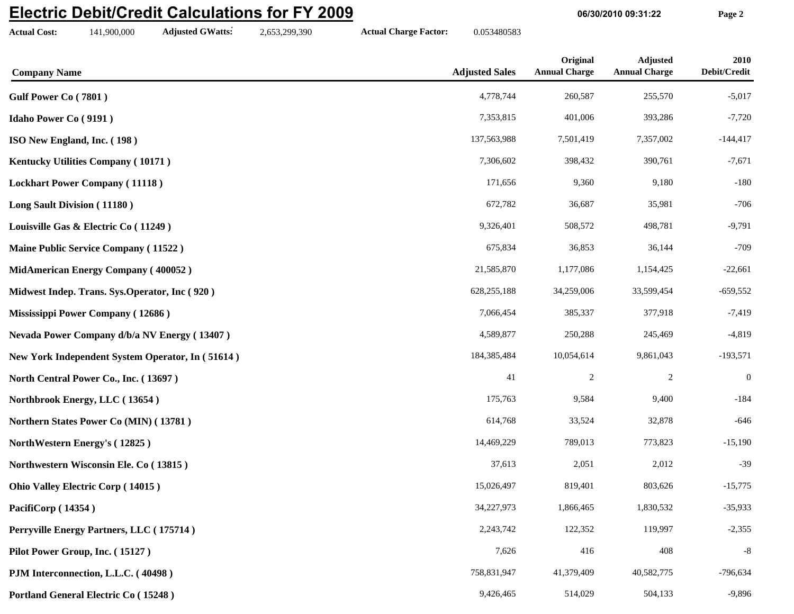## **Electric Debit/Credit Calculations for FY 2009**

**Actual Cost:** 141,900,000 **Adjusted GWatts:** 2,653,299,390 **Actual Charge Factor:** 0.053480583

**06/30/2010 09:31:22 Page 2**

| <b>Company Name</b>                              | <b>Adjusted Sales</b> | Original<br><b>Annual Charge</b> | <b>Adjusted</b><br><b>Annual Charge</b> | 2010<br>$\bf Debit/Credit$ |
|--------------------------------------------------|-----------------------|----------------------------------|-----------------------------------------|----------------------------|
| Gulf Power Co (7801)                             | 4,778,744             | 260,587                          | 255,570                                 | $-5,017$                   |
| <b>Idaho Power Co (9191)</b>                     | 7,353,815             | 401,006                          | 393,286                                 | $-7,720$                   |
| ISO New England, Inc. (198)                      | 137,563,988           | 7,501,419                        | 7,357,002                               | $-144,417$                 |
| Kentucky Utilities Company (10171)               | 7,306,602             | 398,432                          | 390,761                                 | $-7,671$                   |
| <b>Lockhart Power Company (11118)</b>            | 171,656               | 9,360                            | 9,180                                   | $-180$                     |
| Long Sault Division (11180)                      | 672,782               | 36,687                           | 35,981                                  | $-706$                     |
| Louisville Gas & Electric Co (11249)             | 9,326,401             | 508,572                          | 498,781                                 | $-9,791$                   |
| Maine Public Service Company (11522)             | 675,834               | 36,853                           | 36,144                                  | $-709$                     |
| MidAmerican Energy Company (400052)              | 21,585,870            | 1,177,086                        | 1,154,425                               | $-22,661$                  |
| Midwest Indep. Trans. Sys. Operator, Inc (920)   | 628, 255, 188         | 34,259,006                       | 33,599,454                              | $-659,552$                 |
| Mississippi Power Company (12686)                | 7,066,454             | 385,337                          | 377,918                                 | $-7,419$                   |
| Nevada Power Company d/b/a NV Energy (13407)     | 4,589,877             | 250,288                          | 245,469                                 | $-4,819$                   |
| New York Independent System Operator, In (51614) | 184,385,484           | 10,054,614                       | 9,861,043                               | $-193,571$                 |
| North Central Power Co., Inc. (13697)            | 41                    | 2                                | $\overline{c}$                          | $\boldsymbol{0}$           |
| Northbrook Energy, LLC (13654)                   | 175,763               | 9,584                            | 9,400                                   | $-184$                     |
| Northern States Power Co (MIN) (13781)           | 614,768               | 33,524                           | 32,878                                  | $-646$                     |
| NorthWestern Energy's (12825)                    | 14,469,229            | 789,013                          | 773,823                                 | $-15,190$                  |
| Northwestern Wisconsin Ele. Co (13815)           | 37,613                | 2,051                            | 2,012                                   | $-39$                      |
| <b>Ohio Valley Electric Corp (14015)</b>         | 15,026,497            | 819,401                          | 803,626                                 | $-15,775$                  |
| PacifiCorp (14354)                               | 34,227,973            | 1,866,465                        | 1,830,532                               | $-35,933$                  |
| Perryville Energy Partners, LLC (175714)         | 2,243,742             | 122,352                          | 119,997                                 | $-2,355$                   |
| Pilot Power Group, Inc. (15127)                  | 7,626                 | 416                              | 408                                     | $-8$                       |
| PJM Interconnection, L.L.C. (40498)              | 758,831,947           | 41,379,409                       | 40,582,775                              | $-796,634$                 |
| <b>Portland General Electric Co (15248)</b>      | 9,426,465             | 514,029                          | 504,133                                 | $-9,896$                   |